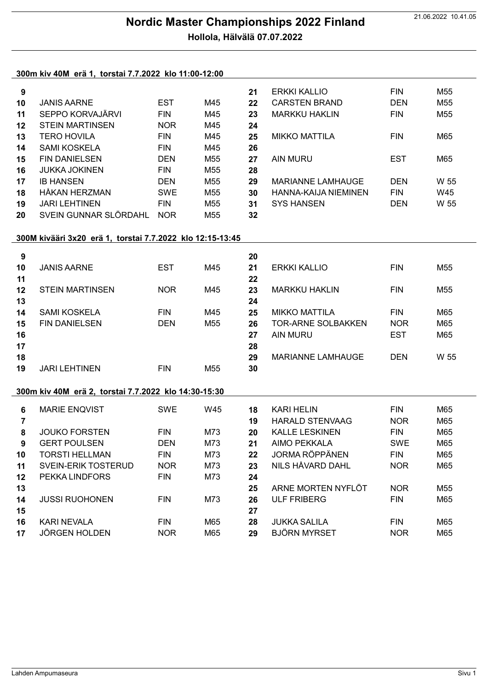## 21.06.2022 10.41.05 Nordic Master Championships 2022 Finland Hollola, Hälvälä 07.07.2022

## 300m kiv 40M erä 1, torstai 7.7.2022 klo 11:00-12:00

| 9                |                                                           |            |     | 21 | <b>ERKKI KALLIO</b>       | <b>FIN</b> | M55             |  |  |  |  |  |  |
|------------------|-----------------------------------------------------------|------------|-----|----|---------------------------|------------|-----------------|--|--|--|--|--|--|
| 10               | <b>JANIS AARNE</b>                                        | <b>EST</b> | M45 | 22 | <b>CARSTEN BRAND</b>      | <b>DEN</b> | M55             |  |  |  |  |  |  |
| 11               | SEPPO KORVAJÄRVI                                          | <b>FIN</b> | M45 | 23 | <b>MARKKU HAKLIN</b>      | <b>FIN</b> | M55             |  |  |  |  |  |  |
| 12               | <b>STEIN MARTINSEN</b>                                    | <b>NOR</b> | M45 | 24 |                           |            |                 |  |  |  |  |  |  |
| 13               | <b>TERO HOVILA</b>                                        | <b>FIN</b> | M45 | 25 | <b>MIKKO MATTILA</b>      | <b>FIN</b> | M65             |  |  |  |  |  |  |
| 14               | <b>SAMI KOSKELA</b>                                       | <b>FIN</b> | M45 | 26 |                           |            |                 |  |  |  |  |  |  |
| 15               | <b>FIN DANIELSEN</b>                                      | <b>DEN</b> | M55 | 27 | <b>AIN MURU</b>           | <b>EST</b> | M65             |  |  |  |  |  |  |
| 16               | <b>JUKKA JOKINEN</b>                                      | <b>FIN</b> | M55 | 28 |                           |            |                 |  |  |  |  |  |  |
| 17               | <b>IB HANSEN</b>                                          | <b>DEN</b> | M55 | 29 | <b>MARIANNE LAMHAUGE</b>  | <b>DEN</b> | W 55            |  |  |  |  |  |  |
| 18               | <b>HÅKAN HERZMAN</b>                                      | <b>SWE</b> | M55 | 30 | HANNA-KAIJA NIEMINEN      | <b>FIN</b> | W45             |  |  |  |  |  |  |
| 19               | <b>JARI LEHTINEN</b>                                      | <b>FIN</b> | M55 | 31 | <b>SYS HANSEN</b>         | <b>DEN</b> | W 55            |  |  |  |  |  |  |
| 20               | SVEIN GUNNAR SLÖRDAHL                                     | <b>NOR</b> | M55 | 32 |                           |            |                 |  |  |  |  |  |  |
|                  |                                                           |            |     |    |                           |            |                 |  |  |  |  |  |  |
|                  | 300M kivääri 3x20 erä 1, torstai 7.7.2022 klo 12:15-13:45 |            |     |    |                           |            |                 |  |  |  |  |  |  |
| $\boldsymbol{9}$ |                                                           |            |     | 20 |                           |            |                 |  |  |  |  |  |  |
| 10               | <b>JANIS AARNE</b>                                        | <b>EST</b> | M45 | 21 | <b>ERKKI KALLIO</b>       | <b>FIN</b> | M <sub>55</sub> |  |  |  |  |  |  |
| 11               |                                                           |            |     | 22 |                           |            |                 |  |  |  |  |  |  |
| 12               | <b>STEIN MARTINSEN</b>                                    | <b>NOR</b> | M45 | 23 | <b>MARKKU HAKLIN</b>      | <b>FIN</b> | M <sub>55</sub> |  |  |  |  |  |  |
| 13               |                                                           |            |     | 24 |                           |            |                 |  |  |  |  |  |  |
| 14               | <b>SAMI KOSKELA</b>                                       | <b>FIN</b> | M45 | 25 | <b>MIKKO MATTILA</b>      | <b>FIN</b> | M65             |  |  |  |  |  |  |
| 15               | <b>FIN DANIELSEN</b>                                      | <b>DEN</b> | M55 | 26 | <b>TOR-ARNE SOLBAKKEN</b> | <b>NOR</b> | M65             |  |  |  |  |  |  |
| 16               |                                                           |            |     | 27 | <b>AIN MURU</b>           | <b>EST</b> | M65             |  |  |  |  |  |  |
| 17               |                                                           |            |     | 28 |                           |            |                 |  |  |  |  |  |  |
| 18               |                                                           |            |     | 29 | <b>MARIANNE LAMHAUGE</b>  | <b>DEN</b> | W 55            |  |  |  |  |  |  |
| 19               | <b>JARI LEHTINEN</b>                                      | <b>FIN</b> | M55 | 30 |                           |            |                 |  |  |  |  |  |  |
|                  |                                                           |            |     |    |                           |            |                 |  |  |  |  |  |  |
|                  | 300m kiv 40M erä 2, torstai 7.7.2022 klo 14:30-15:30      |            |     |    |                           |            |                 |  |  |  |  |  |  |
| $6\phantom{1}$   | <b>MARIE ENQVIST</b>                                      | SWE        | W45 | 18 | <b>KARI HELIN</b>         | <b>FIN</b> | M65             |  |  |  |  |  |  |
| $\overline{7}$   |                                                           |            |     | 19 | <b>HARALD STENVAAG</b>    | <b>NOR</b> | M65             |  |  |  |  |  |  |
| 8                | <b>JOUKO FORSTEN</b>                                      | <b>FIN</b> | M73 | 20 | <b>KALLE LESKINEN</b>     | <b>FIN</b> | M65             |  |  |  |  |  |  |
| 9                | <b>GERT POULSEN</b>                                       | <b>DEN</b> | M73 | 21 | <b>AIMO PEKKALA</b>       | <b>SWE</b> | M65             |  |  |  |  |  |  |
| 10               | <b>TORSTI HELLMAN</b>                                     | <b>FIN</b> | M73 | 22 | <b>JORMA RÖPPÄNEN</b>     | <b>FIN</b> | M65             |  |  |  |  |  |  |
| 11               | SVEIN-ERIK TOSTERUD                                       | <b>NOR</b> | M73 | 23 | NILS HÅVARD DAHL          | <b>NOR</b> | M65             |  |  |  |  |  |  |
| 12               | PEKKA LINDFORS                                            | <b>FIN</b> | M73 | 24 |                           |            |                 |  |  |  |  |  |  |
| 13               |                                                           |            |     | 25 | ARNE MORTEN NYFLÖT        | <b>NOR</b> | M55             |  |  |  |  |  |  |
| 14               | <b>JUSSI RUOHONEN</b>                                     | <b>FIN</b> | M73 | 26 | <b>ULF FRIBERG</b>        | <b>FIN</b> | M65             |  |  |  |  |  |  |
| 15               |                                                           |            |     | 27 |                           |            |                 |  |  |  |  |  |  |
| 16               | KARI NEVALA                                               | <b>FIN</b> | M65 | 28 | <b>JUKKA SALILA</b>       | <b>FIN</b> | M65             |  |  |  |  |  |  |
| 17               | <b>JÖRGEN HOLDEN</b>                                      | <b>NOR</b> | M65 | 29 | <b>BJÖRN MYRSET</b>       | <b>NOR</b> | M65             |  |  |  |  |  |  |